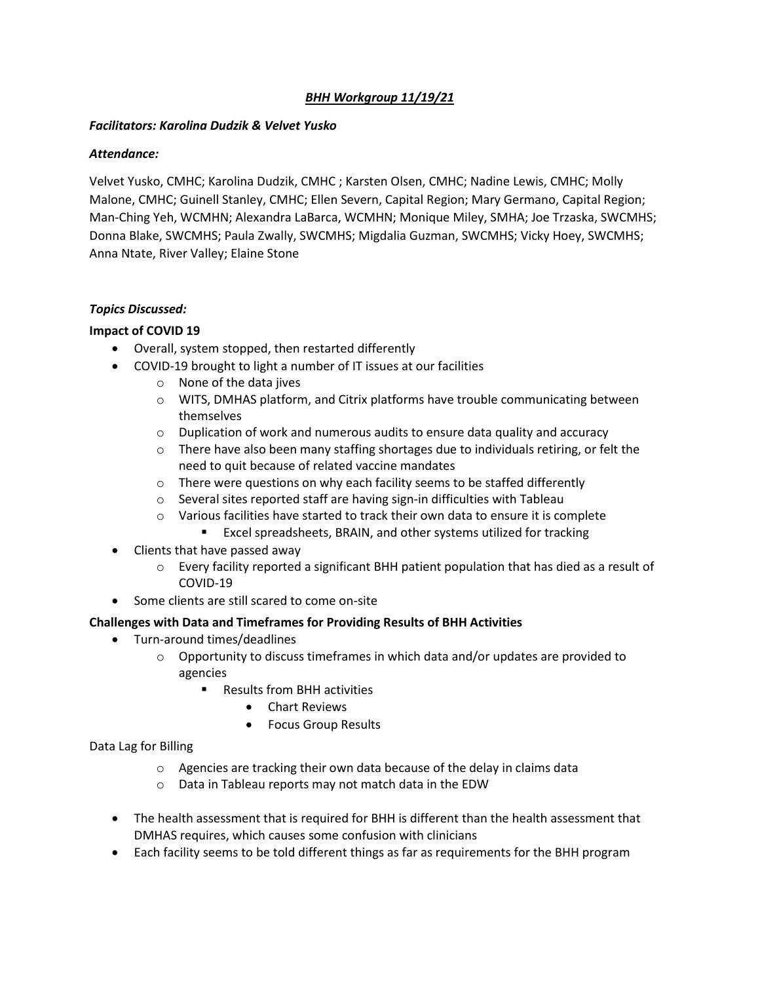## *BHH Workgroup 11/19/21*

#### *Facilitators: Karolina Dudzik & Velvet Yusko*

### *Attendance:*

Velvet Yusko, CMHC; Karolina Dudzik, CMHC ; Karsten Olsen, CMHC; Nadine Lewis, CMHC; Molly Malone, CMHC; Guinell Stanley, CMHC; Ellen Severn, Capital Region; Mary Germano, Capital Region; Man-Ching Yeh, WCMHN; Alexandra LaBarca, WCMHN; Monique Miley, SMHA; Joe Trzaska, SWCMHS; Donna Blake, SWCMHS; Paula Zwally, SWCMHS; Migdalia Guzman, SWCMHS; Vicky Hoey, SWCMHS; Anna Ntate, River Valley; Elaine Stone

### *Topics Discussed:*

# **Impact of COVID 19**

- Overall, system stopped, then restarted differently
- COVID-19 brought to light a number of IT issues at our facilities
	- o None of the data jives
	- o WITS, DMHAS platform, and Citrix platforms have trouble communicating between themselves
	- $\circ$  Duplication of work and numerous audits to ensure data quality and accuracy
	- $\circ$  There have also been many staffing shortages due to individuals retiring, or felt the need to quit because of related vaccine mandates
	- o There were questions on why each facility seems to be staffed differently
	- o Several sites reported staff are having sign-in difficulties with Tableau
	- $\circ$  Various facilities have started to track their own data to ensure it is complete **EXCEL SPEEDS SERAIN, and other systems utilized for tracking**
- Clients that have passed away
	- $\circ$  Every facility reported a significant BHH patient population that has died as a result of COVID-19
- Some clients are still scared to come on-site

#### **Challenges with Data and Timeframes for Providing Results of BHH Activities**

- Turn-around times/deadlines
	- $\circ$  Opportunity to discuss timeframes in which data and/or updates are provided to agencies
		- Results from BHH activities
			- Chart Reviews
			- Focus Group Results

Data Lag for Billing

- o Agencies are tracking their own data because of the delay in claims data
- o Data in Tableau reports may not match data in the EDW
- The health assessment that is required for BHH is different than the health assessment that DMHAS requires, which causes some confusion with clinicians
- Each facility seems to be told different things as far as requirements for the BHH program